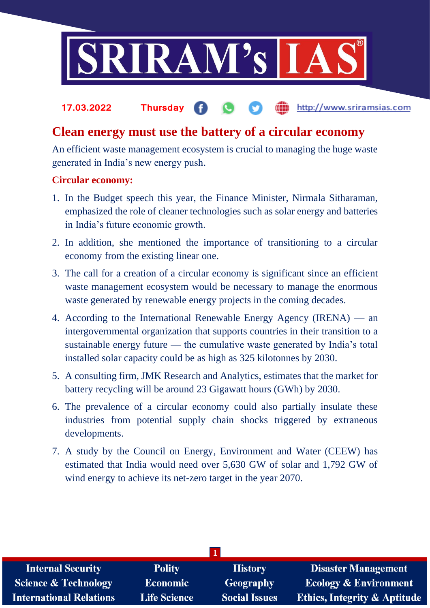

### **17.03.2022 Thursday** http://www.sriramsias.com

## **Clean energy must use the battery of a circular economy**

An efficient waste management ecosystem is crucial to managing the huge waste generated in India's new energy push.

## **Circular economy:**

- 1. In the Budget speech this year, the Finance Minister, Nirmala Sitharaman, emphasized the role of cleaner technologies such as solar energy and batteries in India's future economic growth.
- 2. In addition, she mentioned the importance of transitioning to a circular economy from the existing linear one.
- 3. The call for a creation of a circular economy is significant since an efficient waste management ecosystem would be necessary to manage the enormous waste generated by renewable energy projects in the coming decades.
- 4. According to the International Renewable Energy Agency (IRENA) an intergovernmental organization that supports countries in their transition to a sustainable energy future — the cumulative waste generated by India's total installed solar capacity could be as high as 325 kilotonnes by 2030.
- 5. A consulting firm, JMK Research and Analytics, estimates that the market for battery recycling will be around 23 Gigawatt hours (GWh) by 2030.
- 6. The prevalence of a circular economy could also partially insulate these industries from potential supply chain shocks triggered by extraneous developments.
- 7. A study by the Council on Energy, Environment and Water (CEEW) has estimated that India would need over 5,630 GW of solar and 1,792 GW of wind energy to achieve its net-zero target in the year 2070.

| <b>Internal Security</b>        | <b>Polity</b>       | <b>History</b>       | <b>Disaster Management</b>              |  |  |  |
|---------------------------------|---------------------|----------------------|-----------------------------------------|--|--|--|
| <b>Science &amp; Technology</b> | <b>Economic</b>     | <b>Geography</b>     | <b>Ecology &amp; Environment</b>        |  |  |  |
| <b>International Relations</b>  | <b>Life Science</b> | <b>Social Issues</b> | <b>Ethics, Integrity &amp; Aptitude</b> |  |  |  |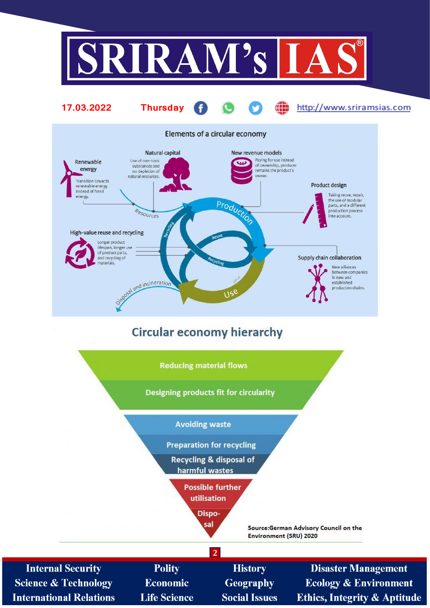



**Preparation for recycling** 

**Recycling & disposal of** harmful wastes

> **Possible further** utilisation

> > $\overline{2}$

Disposal

Source:German Advisory Council on the **Environment (SRU) 2020** 

**Internal Security Science & Technology International Relations** 

Polity **Economic Life Science** 

**History Geography Social Issues** 

**Disaster Management Ecology & Environment Ethics, Integrity & Aptitude**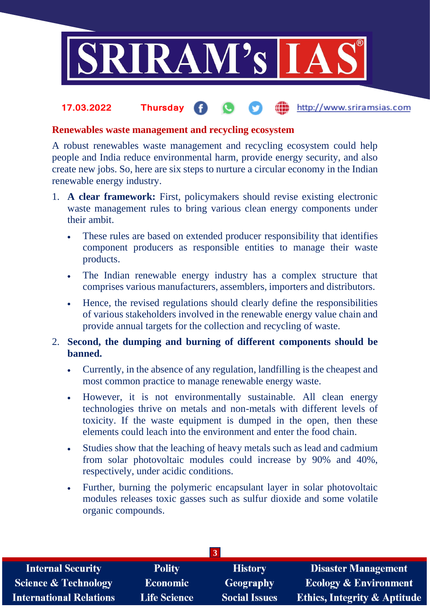

### **fin** http://www.sriramsias.com **17.03.2022 Thursday**

## **Renewables waste management and recycling ecosystem**

A robust renewables waste management and recycling ecosystem could help people and India reduce environmental harm, provide energy security, and also create new jobs. So, here are six steps to nurture a circular economy in the Indian renewable energy industry.

- 1. **A clear framework:** First, policymakers should revise existing electronic waste management rules to bring various clean energy components under their ambit.
	- These rules are based on extended producer responsibility that identifies component producers as responsible entities to manage their waste products.
	- The Indian renewable energy industry has a complex structure that comprises various manufacturers, assemblers, importers and distributors.
	- Hence, the revised regulations should clearly define the responsibilities of various stakeholders involved in the renewable energy value chain and provide annual targets for the collection and recycling of waste.
- 2. **Second, the dumping and burning of different components should be banned.**
	- Currently, in the absence of any regulation, landfilling is the cheapest and most common practice to manage renewable energy waste.
	- However, it is not environmentally sustainable. All clean energy technologies thrive on metals and non-metals with different levels of toxicity. If the waste equipment is dumped in the open, then these elements could leach into the environment and enter the food chain.
	- Studies show that the leaching of heavy metals such as lead and cadmium from solar photovoltaic modules could increase by 90% and 40%, respectively, under acidic conditions.
	- Further, burning the polymeric encapsulant layer in solar photovoltaic modules releases toxic gasses such as sulfur dioxide and some volatile organic compounds.

| 3.                              |                     |                      |                                         |  |  |  |
|---------------------------------|---------------------|----------------------|-----------------------------------------|--|--|--|
| <b>Internal Security</b>        | <b>Polity</b>       | <b>History</b>       | Disaster Management                     |  |  |  |
| <b>Science &amp; Technology</b> | <b>Economic</b>     | Geography            | <b>Ecology &amp; Environment</b>        |  |  |  |
| <b>International Relations</b>  | <b>Life Science</b> | <b>Social Issues</b> | <b>Ethics, Integrity &amp; Aptitude</b> |  |  |  |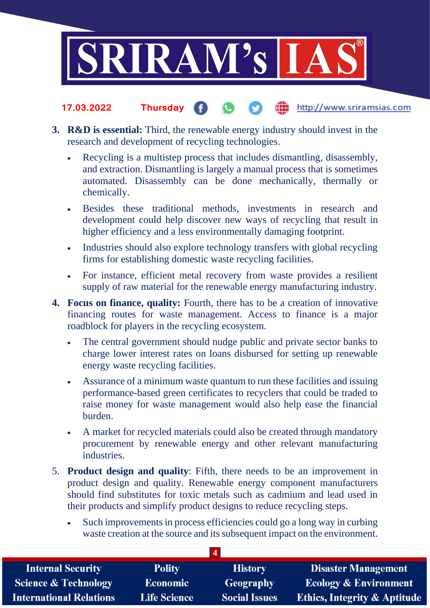

- the http://www.sriramsias.com **17.03.2022 Thursday**
- **3. R&D is essential:** Third, the renewable energy industry should invest in the research and development of recycling technologies.
	- Recycling is a multistep process that includes dismantling, disassembly, and extraction. Dismantling is largely a manual process that is sometimes automated. Disassembly can be done mechanically, thermally or chemically.
	- Besides these traditional methods, investments in research and development could help discover new ways of recycling that result in higher efficiency and a less environmentally damaging footprint.
	- Industries should also explore technology transfers with global recycling firms for establishing domestic waste recycling facilities.
	- For instance, efficient metal recovery from waste provides a resilient supply of raw material for the renewable energy manufacturing industry.
- **4. Focus on finance, quality:** Fourth, there has to be a creation of innovative financing routes for waste management. Access to finance is a major roadblock for players in the recycling ecosystem.
	- The central government should nudge public and private sector banks to charge lower interest rates on loans disbursed for setting up renewable energy waste recycling facilities.
	- Assurance of a minimum waste quantum to run these facilities and issuing performance-based green certificates to recyclers that could be traded to raise money for waste management would also help ease the financial burden.
	- A market for recycled materials could also be created through mandatory procurement by renewable energy and other relevant manufacturing industries.
- 5. **Product design and quality**: Fifth, there needs to be an improvement in product design and quality. Renewable energy component manufacturers should find substitutes for toxic metals such as cadmium and lead used in their products and simplify product designs to reduce recycling steps.
	- Such improvements in process efficiencies could go a long way in curbing waste creation at the source and its subsequent impact on the environment.

| <b>Internal Security</b>        | <b>Polity</b>       | <b>History</b>       | <b>Disaster Management</b>              |  |  |  |
|---------------------------------|---------------------|----------------------|-----------------------------------------|--|--|--|
| <b>Science &amp; Technology</b> | <b>Economic</b>     | <b>Geography</b>     | <b>Ecology &amp; Environment</b>        |  |  |  |
| <b>International Relations</b>  | <b>Life Science</b> | <b>Social Issues</b> | <b>Ethics, Integrity &amp; Aptitude</b> |  |  |  |

**4**